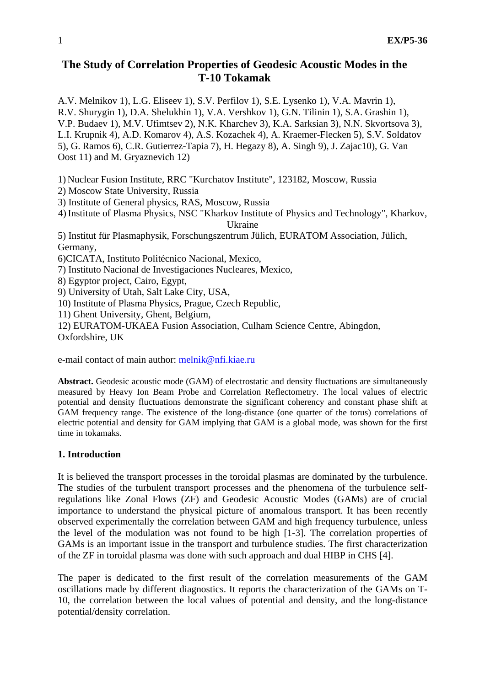# **The Study of Correlation Properties of Geodesic Acoustic Modes in the T-10 Tokamak**

A.V. Melnikov 1), L.G. Eliseev 1), S.V. Perfilov 1), S.E. Lysenko 1), V.A. Mavrin 1), R.V. Shurygin 1), D.A. Shelukhin 1), V.A. Vershkov 1), G.N. Tilinin 1), S.A. Grashin 1), V.P. Budaev 1), M.V. Ufimtsev 2), N.K. Kharchev 3), K.A. Sarksian 3), N.N. Skvortsova 3), L.I. Krupnik 4), A.D. Komarov 4), A.S. Kozachek 4), A. Kraemer-Flecken 5), S.V. Soldatov 5), G. Ramos 6), C.R. Gutierrez-Tapia 7), H. Hegazy 8), A. Singh 9), J. Zajac10), G. Van Oost 11) and M. Gryaznevich 12)

1) Nuclear Fusion Institute, RRC "Kurchatov Institute", 123182, Moscow, Russia

2) Moscow State University, Russia

3) Institute of General physics, RAS, Moscow, Russia

4) Institute of Plasma Physics, NSC "Kharkov Institute of Physics and Technology", Kharkov, Ukraine

5) Institut für Plasmaphysik, Forschungszentrum Jülich, EURATOM Association, Jülich, Germany,

6)CICATA, Instituto Politécnico Nacional, Mexico,

7) Instituto Nacional de Investigaciones Nucleares, Mexico,

8) Egyptor project, Cairo, Egypt,

9) University of Utah, Salt Lake City, USA,

10) Institute of Plasma Physics, Prague, Czech Republic,

11) Ghent University, Ghent, Belgium,

12) EURATOM-UKAEA Fusion Association, Culham Science Centre, Abingdon, Oxfordshire, UK

e-mail contact of main author: melnik@nfi.kiae.ru

**Abstract.** Geodesic acoustic mode (GAM) of electrostatic and density fluctuations are simultaneously measured by Heavy Ion Beam Probe and Correlation Reflectometry. The local values of electric potential and density fluctuations demonstrate the significant coherency and constant phase shift at GAM frequency range. The existence of the long-distance (one quarter of the torus) correlations of electric potential and density for GAM implying that GAM is a global mode, was shown for the first time in tokamaks.

## **1. Introduction**

It is believed the transport processes in the toroidal plasmas are dominated by the turbulence. The studies of the turbulent transport processes and the phenomena of the turbulence selfregulations like Zonal Flows (ZF) and Geodesic Acoustic Modes (GAMs) are of crucial importance to understand the physical picture of anomalous transport. It has been recently observed experimentally the correlation between GAM and high frequency turbulence, unless the level of the modulation was not found to be high [1-3]. The correlation properties of GAMs is an important issue in the transport and turbulence studies. The first characterization of the ZF in toroidal plasma was done with such approach and dual HIBP in CHS [4].

The paper is dedicated to the first result of the correlation measurements of the GAM oscillations made by different diagnostics. It reports the characterization of the GAMs on T-10, the correlation between the local values of potential and density, and the long-distance potential/density correlation.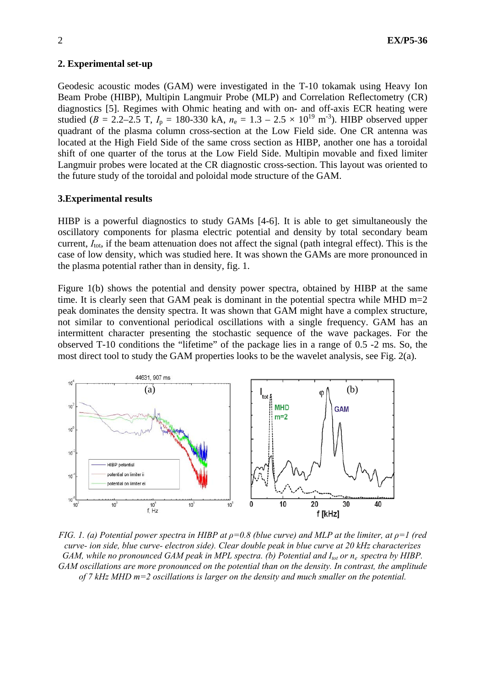### **2. Experimental set-up**

Geodesic acoustic modes (GAM) were investigated in the T-10 tokamak using Heavy Ion Beam Probe (HIBP), Multipin Langmuir Probe (MLP) and Correlation Reflectometry (CR) diagnostics [5]. Regimes with Ohmic heating and with on- and off-axis ECR heating were studied ( $B = 2.2-2.5$  T,  $I_p = 180-330$  kA,  $n_e = 1.3 - 2.5 \times 10^{19}$  m<sup>-3</sup>). HIBP observed upper quadrant of the plasma column cross-section at the Low Field side. One CR antenna was located at the High Field Side of the same cross section as HIBP, another one has a toroidal shift of one quarter of the torus at the Low Field Side. Multipin movable and fixed limiter Langmuir probes were located at the CR diagnostic cross-section. This layout was oriented to the future study of the toroidal and poloidal mode structure of the GAM.

### **3.Experimental results**

HIBP is a powerful diagnostics to study GAMs [4-6]. It is able to get simultaneously the oscillatory components for plasma electric potential and density by total secondary beam current, *I*<sub>tot</sub>, if the beam attenuation does not affect the signal (path integral effect). This is the case of low density, which was studied here. It was shown the GAMs are more pronounced in the plasma potential rather than in density, fig. 1.

Figure 1(b) shows the potential and density power spectra, obtained by HIBP at the same time. It is clearly seen that GAM peak is dominant in the potential spectra while MHD  $m=2$ peak dominates the density spectra. It was shown that GAM might have a complex structure, not similar to conventional periodical oscillations with a single frequency. GAM has an intermittent character presenting the stochastic sequence of the wave packages. For the observed T-10 conditions the "lifetime" of the package lies in a range of 0.5 -2 ms. So, the most direct tool to study the GAM properties looks to be the wavelet analysis, see Fig. 2(a).



*FIG. 1. (a) Potential power spectra in HIBP at*  $\rho$ *=0.8 (blue curve) and MLP at the limiter, at*  $\rho$ *=1 (red \end{math}) curve- ion side, blue curve- electron side). Clear double peak in blue curve at 20 kHz characterizes GAM, while no pronounced GAM peak in MPL spectra. (b) Potential and I<sub>tot</sub> or n<sub>e</sub> spectra by HIBP. GAM oscillations are more pronounced on the potential than on the density. In contrast, the amplitude of 7 kHz MHD m=2 oscillations is larger on the density and much smaller on the potential.*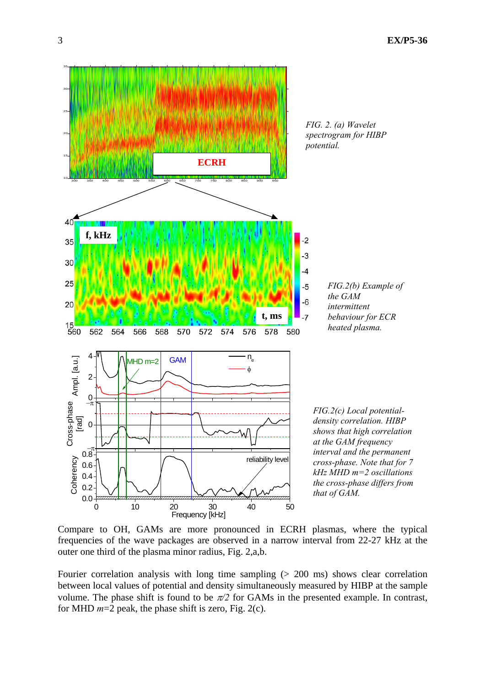

*spectrogram for HIBP* 

*FIG.2(b) Example of the GAM intermittent behaviour for ECR heated plasma.* 

*FIG.2(c) Local potentialdensity correlation. HIBP shows that high correlation at the GAM frequency interval and the permanent cross-phase. Note that for 7 kHz MHD m=2 oscillations the cross-phase differs from that of GAM.*

Compare to OH, GAMs are more pronounced in ECRH plasmas, where the typical frequencies of the wave packages are observed in a narrow interval from 22-27 kHz at the outer one third of the plasma minor radius, Fig. 2,a,b.

Fourier correlation analysis with long time sampling (> 200 ms) shows clear correlation between local values of potential and density simultaneously measured by HIBP at the sample volume. The phase shift is found to be  $\pi/2$  for GAMs in the presented example. In contrast, for MHD *m*=2 peak, the phase shift is zero, Fig. 2(c).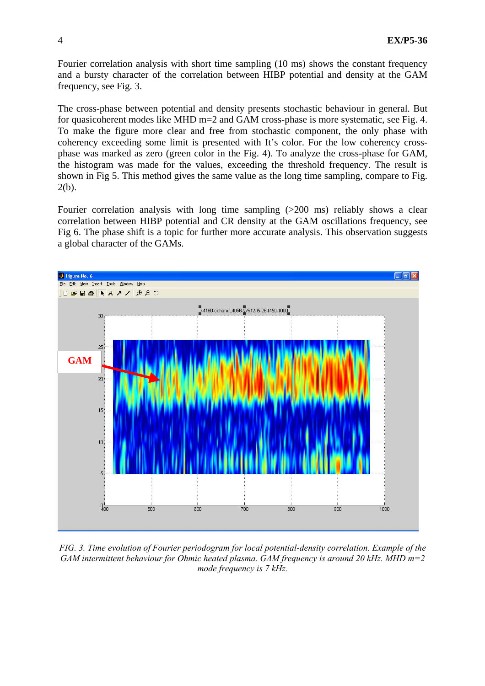Fourier correlation analysis with short time sampling (10 ms) shows the constant frequency and a bursty character of the correlation between HIBP potential and density at the GAM frequency, see Fig. 3.

The cross-phase between potential and density presents stochastic behaviour in general. But for quasicoherent modes like MHD m=2 and GAM cross-phase is more systematic, see Fig. 4. To make the figure more clear and free from stochastic component, the only phase with coherency exceeding some limit is presented with It's color. For the low coherency crossphase was marked as zero (green color in the Fig. 4). To analyze the cross-phase for GAM, the histogram was made for the values, exceeding the threshold frequency. The result is shown in Fig 5. This method gives the same value as the long time sampling, compare to Fig. 2(b).

Fourier correlation analysis with long time sampling (>200 ms) reliably shows a clear correlation between HIBP potential and CR density at the GAM oscillations frequency, see Fig 6. The phase shift is a topic for further more accurate analysis. This observation suggests a global character of the GAMs.



*FIG. 3. Time evolution of Fourier periodogram for local potential-density correlation. Example of the GAM intermittent behaviour for Ohmic heated plasma. GAM frequency is around 20 kHz. MHD m=2 mode frequency is 7 kHz.*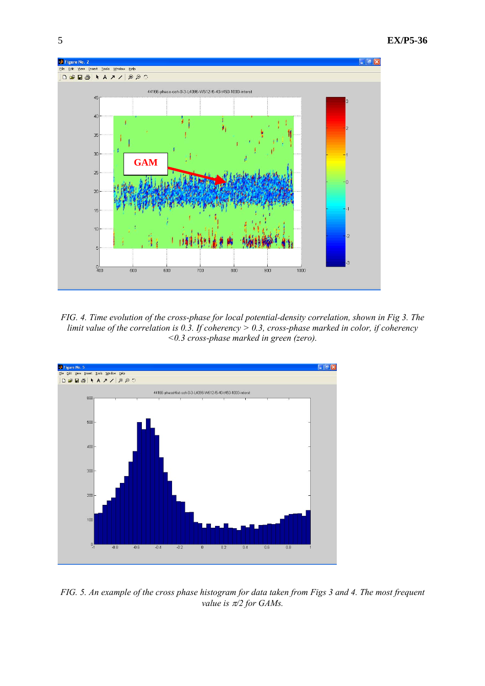

*FIG. 4. Time evolution of the cross-phase for local potential-density correlation, shown in Fig 3. The limit value of the correlation is 0.3. If coherency > 0.3, cross-phase marked in color, if coherency <0.3 cross-phase marked in green (zero).* 



*FIG. 5. An example of the cross phase histogram for data taken from Figs 3 and 4. The most frequent value is* π*/2 for GAMs.*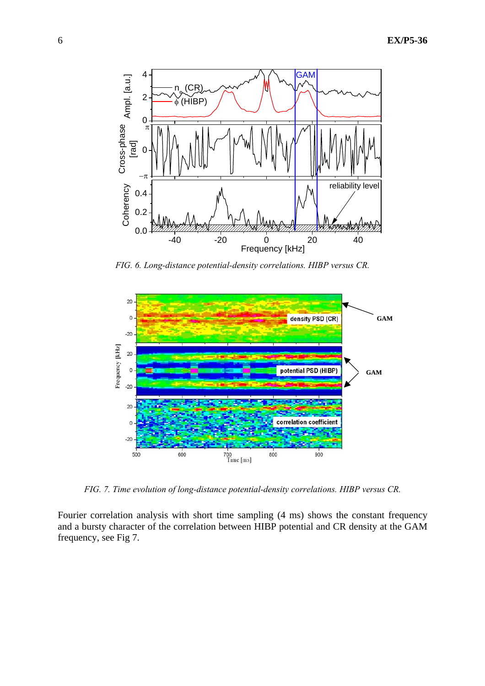

*FIG. 6. Long-distance potential-density correlations. HIBP versus CR.* 



*FIG. 7. Time evolution of long-distance potential-density correlations. HIBP versus CR.* 

Fourier correlation analysis with short time sampling (4 ms) shows the constant frequency and a bursty character of the correlation between HIBP potential and CR density at the GAM frequency, see Fig 7.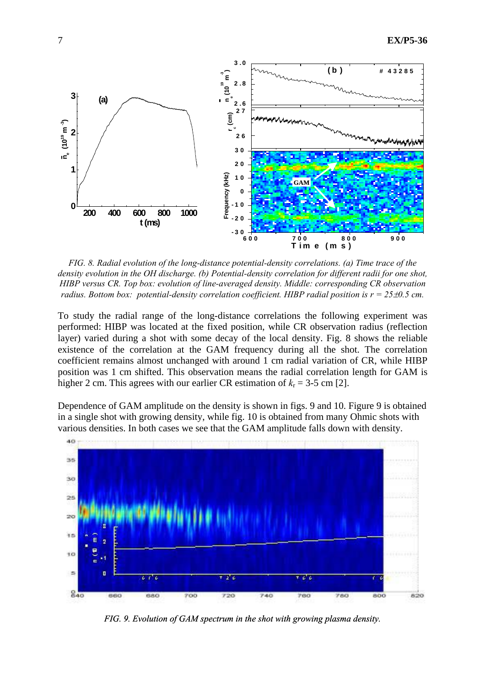

*FIG. 8. Radial evolution of the long-distance potential-density correlations. (a) Time trace of the density evolution in the OH discharge. (b) Potential-density correlation for different radii for one shot, HIBP versus CR. Top box: evolution of line-averaged density. Middle: corresponding CR observation radius. Bottom box: potential-density correlation coefficient. HIBP radial position is*  $r = 25\pm0.5$  *cm.* 

To study the radial range of the long-distance correlations the following experiment was performed: HIBP was located at the fixed position, while CR observation radius (reflection layer) varied during a shot with some decay of the local density. Fig. 8 shows the reliable existence of the correlation at the GAM frequency during all the shot. The correlation coefficient remains almost unchanged with around 1 cm radial variation of CR, while HIBP position was 1 cm shifted. This observation means the radial correlation length for GAM is higher 2 cm. This agrees with our earlier CR estimation of  $k_r = 3-5$  cm [2].

Dependence of GAM amplitude on the density is shown in figs. 9 and 10. Figure 9 is obtained in a single shot with growing density, while fig. 10 is obtained from many Ohmic shots with various densities. In both cases we see that the GAM amplitude falls down with density.



*FIG. 9. Evolution of GAM spectrum in the shot with growing plasma density.*